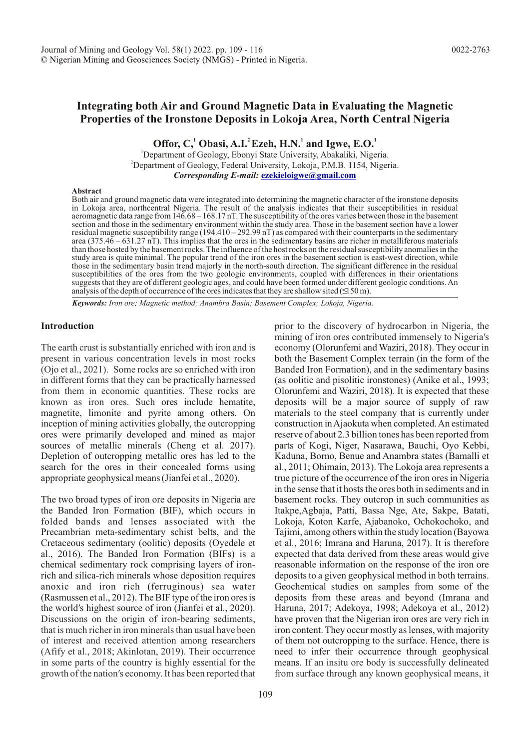# **Integrating both Air and Ground Magnetic Data in Evaluating the Magnetic Properties of the Ironstone Deposits in Lokoja Area, North Central Nigeria**

Offor, C,<sup>1</sup> Obasi, A.I.<sup>2</sup> Ezeh, H.N.<sup>1</sup> and Igwe, E.O.<sup>1</sup>

<sup>1</sup>Department of Geology, Ebonyi State University, Abakaliki, Nigeria. <sup>2</sup>Department of Geology, Federal University, Lokoja, P.M.B. 1154, Nigeria. *Corresponding E-mail:* **[ezekieloigwe@gmail.com](mailto:ezekieloigwe@gmail.com)**

#### **Abstract**

Both air and ground magnetic data were integrated into determining the magnetic character of the ironstone deposits in Lokoja area, northcentral Nigeria. The result of the analysis indicates that their susceptibilities in residual aeromagnetic data range from 146.68 – 168.17 nT. The susceptibility of the ores varies between those in the basement section and those in the sedimentary environment within the study area. Those in the basement section have a lower residual magnetic susceptibility range (194.410 – 292.99 nT) as compared with their counterparts in the sedimentary area (375.46 – 631.27 nT). This implies that the ores in the sedimentary basins are richer in metalliferous materials than those hosted by the basement rocks. The influence of the host rocks on the residual susceptibility anomalies in the study area is quite minimal. The popular trend of the iron ores in the basement section is east-west direction, while those in the sedimentary basin trend majorly in the north-south direction. The significant difference in the residual susceptibilities of the ores from the two geologic environments, coupled with differences in their orientations suggests that they are of different geologic ages, and could have been formed under different geologic conditions. An analysis of the depth of occurrence of the ores indicates that they are shallow sited  $(150 \text{ m})$ .

*Keywords: Iron ore; Magnetic method; Anambra Basin; Basement Complex; Lokoja, Nigeria.*

### **Introduction**

known as iron ores. Such ores include hematite, magnetite, limonite and pyrite among others. On inception of mining activities globally, the outcropping ores were primarily developed and mined as major sources of metallic minerals (Cheng et al. 2017). Depletion of outcropping metallic ores has led to the search for the ores in their concealed forms using appropriate geophysical means (Jianfei et al., 2020). The earth crust is substantially enriched with iron and is present in various concentration levels in most rocks (Ojo et al., 2021). Some rocks are so enriched with iron in different forms that they can be practically harnessed from them in economic quantities. These rocks are

The two broad types of iron ore deposits in Nigeria are the Banded Iron Formation (BIF), which occurs in folded bands and lenses associated with the Precambrian meta-sedimentary schist belts, and the Cretaceous sedimentary (oolitic) deposits (Oyedele et al., 2016). The Banded Iron Formation (BIFs) is a chemical sedimentary rock comprising layers of ironrich and silica-rich minerals whose deposition requires anoxic and iron rich (ferruginous) sea water (Rasmussen et al., 2012). The BIF type of the iron ores is the world's highest source of iron (Jianfei et al., 2020). Discussions on the origin of iron-bearing sediments, that is much richer in iron minerals than usual have been of interest and received attention among researchers (Afify et al., 2018; Akinlotan, 2019). Their occurrence in some parts of the country is highly essential for the growth of the nation's economy. It has been reported that prior to the discovery of hydrocarbon in Nigeria, the mining of iron ores contributed immensely to Nigeria's economy (Olorunfemi and Waziri, 2018). They occur in means. If an insitu ore body is successfully delineated from surface through any known geophysical means, it both the Basement Complex terrain (in the form of the Banded Iron Formation), and in the sedimentary basins (as oolitic and pisolitic ironstones) (Anike et al., 1993; Olorunfemi and Waziri, 2018). It is expected that these deposits will be a major source of supply of raw materials to the steel company that is currently under construction in Ajaokuta when completed. An estimated reserve of about 2.3 billion tones has been reported from parts of Kogi, Niger, Nasarawa, Bauchi, Oyo Kebbi, Kaduna, Borno, Benue and Anambra states (Bamalli et al., 2011; Ohimain, 2013). The Lokoja area represents a true picture of the occurrence of the iron ores in Nigeria in the sense that it hosts the ores both in sediments and in basement rocks. They outcrop in such communities as Itakpe,Agbaja, Patti, Bassa Nge, Ate, Sakpe, Batati, Lokoja, Koton Karfe, Ajabanoko, Ochokochoko, and Tajimi, among others within the study location (Bayowa et al., 2016; Imrana and Haruna, 2017). It is therefore expected that data derived from these areas would give reasonable information on the response of the iron ore deposits to a given geophysical method in both terrains. Geochemical studies on samples from some of the deposits from these areas and beyond (Imrana and Haruna, 2017; Adekoya, 1998; Adekoya et al., 2012) have proven that the Nigerian iron ores are very rich in iron content. They occur mostly as lenses, with majority of them not outcropping to the surface. Hence, there is need to infer their occurrence through geophysical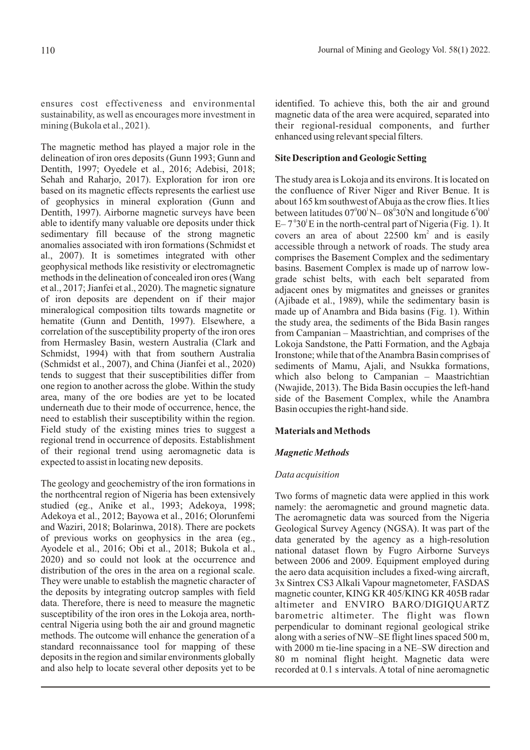ensures cost effectiveness and environmental sustainability, as well as encourages more investment in mining (Bukola et al., 2021).

The magnetic method has played a major role in the delineation of iron ores deposits (Gunn 1993; Gunn and Dentith, 1997; Oyedele et al., 2016; Adebisi, 2018; Sehah and Raharjo, 2017). Exploration for iron ore based on its magnetic effects represents the earliest use of geophysics in mineral exploration (Gunn and Dentith, 1997). Airborne magnetic surveys have been able to identify many valuable ore deposits under thick sedimentary fill because of the strong magnetic anomalies associated with iron formations (Schmidst et al., 2007). It is sometimes integrated with other geophysical methods like resistivity or electromagnetic methods in the delineation of concealed iron ores (Wang et al., 2017; Jianfei et al., 2020). The magnetic signature of iron deposits are dependent on if their major mineralogical composition tilts towards magnetite or hematite (Gunn and Dentith, 1997). Elsewhere, a correlation of the susceptibility property of the iron ores from Hermasley Basin, western Australia (Clark and Schmidst, 1994) with that from southern Australia (Schmidst et al., 2007), and China (Jianfei et al., 2020) tends to suggest that their susceptibilities differ from one region to another across the globe. Within the study area, many of the ore bodies are yet to be located underneath due to their mode of occurrence, hence, the need to establish their susceptibility within the region. Field study of the existing mines tries to suggest a regional trend in occurrence of deposits. Establishment of their regional trend using aeromagnetic data is expected to assist in locating new deposits.

The geology and geochemistry of the iron formations in the northcentral region of Nigeria has been extensively studied (eg., Anike et al., 1993; Adekoya, 1998; Adekoya et al., 2012; Bayowa et al., 2016; Olorunfemi and Waziri, 2018; Bolarinwa, 2018). There are pockets of previous works on geophysics in the area (eg., Ayodele et al., 2016; Obi et al., 2018; Bukola et al., 2020) and so could not look at the occurrence and distribution of the ores in the area on a regional scale. They were unable to establish the magnetic character of the deposits by integrating outcrop samples with field data. Therefore, there is need to measure the magnetic susceptibility of the iron ores in the Lokoja area, northcentral Nigeria using both the air and ground magnetic methods. The outcome will enhance the generation of a standard reconnaissance tool for mapping of these deposits in the region and similar environments globally and also help to locate several other deposits yet to be

identified. To achieve this, both the air and ground magnetic data of the area were acquired, separated into their regional-residual components, and further enhanced using relevant special filters.

## **Site Description and Geologic Setting**

The study area is Lokoja and its environs. It is located on the confluence of River Niger and River Benue. It is about 165 km southwest of Abuja as the crow flies. It lies between latitudes  $07^{\circ}00^{\prime}$ N $-08^{\circ}30^{\prime}$ N and longitude  $6^{\circ}00^{\prime}$  $E - 7^\circ 30^\circ E$  in the north-central part of Nigeria (Fig. 1). It accessible through a network of roads. The study area comprises the Basement Complex and the sedimentary basins. Basement Complex is made up of narrow lowgrade schist belts, with each belt separated from adjacent ones by migmatites and gneisses or granites (Ajibade et al., 1989), while the sedimentary basin is made up of Anambra and Bida basins (Fig. 1). Within the study area, the sediments of the Bida Basin ranges from Campanian – Maastrichtian, and comprises of the Lokoja Sandstone, the Patti Formation, and the Agbaja Ironstone; while that of the Anambra Basin comprises of sediments of Mamu, Ajali, and Nsukka formations, which also belong to Campanian – Maastrichtian (Nwajide, 2013). The Bida Basin occupies the left-hand side of the Basement Complex, while the Anambra Basin occupies the right-hand side. covers an area of about  $22500 \text{ km}^2$  and is easily

## **Materials and Methods**

## *Magnetic Methods*

### *Data acquisition*

Two forms of magnetic data were applied in this work namely: the aeromagnetic and ground magnetic data. The aeromagnetic data was sourced from the Nigeria Geological Survey Agency (NGSA). It was part of the data generated by the agency as a high-resolution national dataset flown by Fugro Airborne Surveys between 2006 and 2009. Equipment employed during the aero data acquisition includes a fixed-wing aircraft, 3x Sintrex CS3 Alkali Vapour magnetometer, FASDAS magnetic counter, KING KR 405/KING KR 405B radar altimeter and ENVIRO BARO/DIGIQUARTZ barometric altimeter. The flight was flown perpendicular to dominant regional geological strike along with a series of NW–SE flight lines spaced 500 m, with 2000 m tie-line spacing in a NE–SW direction and 80 m nominal flight height. Magnetic data were recorded at 0.1 s intervals. A total of nine aeromagnetic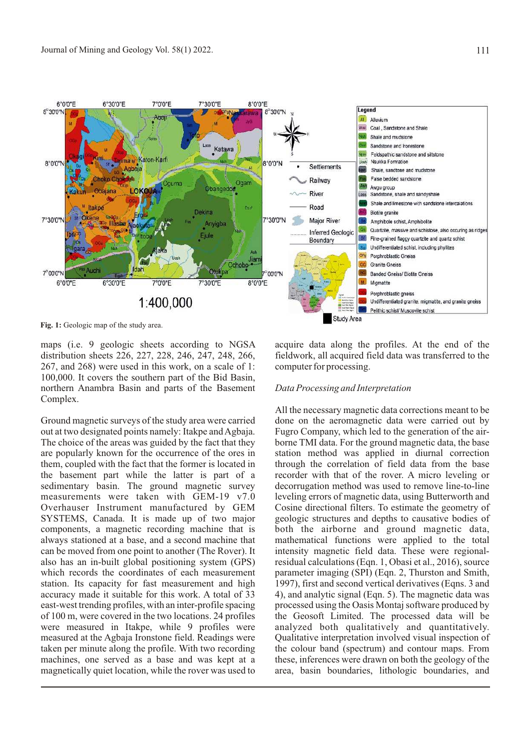

Fig. 1: Geologic map of the study area.

maps (i.e. 9 geologic sheets according to NGSA distribution sheets 226, 227, 228, 246, 247, 248, 266, 267, and 268) were used in this work, on a scale of 1: 100,000. It covers the southern part of the Bid Basin, northern Anambra Basin and parts of the Basement Complex.

Ground magnetic surveys of the study area were carried out at two designated points namely: Itakpe and Agbaja. The choice of the areas was guided by the fact that they are popularly known for the occurrence of the ores in them, coupled with the fact that the former is located in the basement part while the latter is part of a sedimentary basin. The ground magnetic survey measurements were taken with GEM-19 v7.0 Overhauser Instrument manufactured by GEM SYSTEMS, Canada. It is made up of two major components, a magnetic recording machine that is always stationed at a base, and a second machine that can be moved from one point to another (The Rover). It also has an in-built global positioning system (GPS) which records the coordinates of each measurement station. Its capacity for fast measurement and high accuracy made it suitable for this work. A total of 33 east-west trending profiles, with an inter-profile spacing of 100 m, were covered in the two locations. 24 profiles were measured in Itakpe, while 9 profiles were measured at the Agbaja Ironstone field. Readings were taken per minute along the profile. With two recording machines, one served as a base and was kept at a magnetically quiet location, while the rover was used to acquire data along the profiles. At the end of the fieldwork, all acquired field data was transferred to the computer for processing.

### *Data Processing and Interpretation*

All the necessary magnetic data corrections meant to be done on the aeromagnetic data were carried out by Fugro Company, which led to the generation of the airborne TMI data. For the ground magnetic data, the base station method was applied in diurnal correction through the correlation of field data from the base recorder with that of the rover. A micro leveling or decorrugation method was used to remove line-to-line leveling errors of magnetic data, using Butterworth and Cosine directional filters. To estimate the geometry of geologic structures and depths to causative bodies of both the airborne and ground magnetic data, mathematical functions were applied to the total intensity magnetic field data. These were regionalresidual calculations (Eqn. 1, Obasi et al., 2016), source parameter imaging (SPI) (Eqn. 2, Thurston and Smith, 1997), first and second vertical derivatives (Eqns. 3 and 4), and analytic signal (Eqn. 5). The magnetic data was processed using the Oasis Montaj software produced by the Geosoft Limited. The processed data will be analyzed both qualitatively and quantitatively. Qualitative interpretation involved visual inspection of the colour band (spectrum) and contour maps. From these, inferences were drawn on both the geology of the area, basin boundaries, lithologic boundaries, and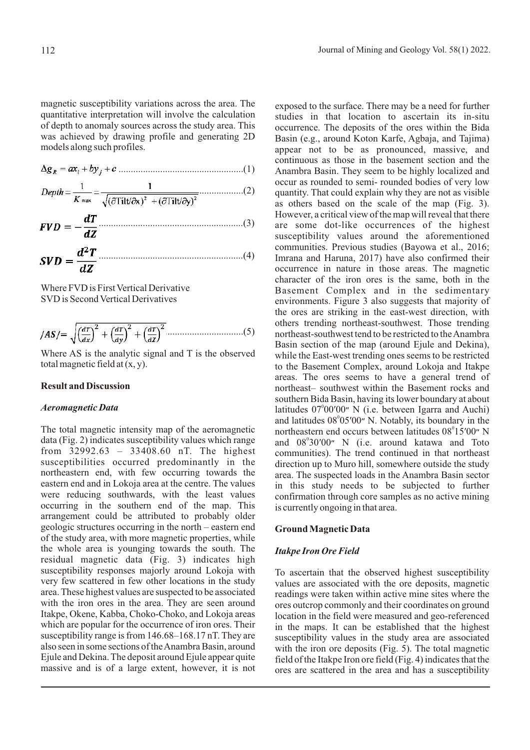magnetic susceptibility variations across the area. The quantitative interpretation will involve the calculation of depth to anomaly sources across the study area. This was achieved by drawing profile and generating 2D models along such profiles.

$$
\Delta g_R = a x_i + b y_j + c \dots
$$
 (1)

..................(2)

...........................................................(3)

$$
SVD = \frac{d^2T}{dZ}
$$
 (4)

Where FVD is First Vertical Derivative SVD is Second Vertical Derivatives

$$
|AS| = \sqrt{\left(\frac{dT}{dx}\right)^2 + \left(\frac{dT}{dy}\right)^2 + \left(\frac{dT}{dZ}\right)^2}
$$
.................(5)

Where AS is the analytic signal and T is the observed total magnetic field at  $(x, y)$ .

#### **Result and Discussion**

### *Aeromagnetic Data*

The total magnetic intensity map of the aeromagnetic data (Fig. 2) indicates susceptibility values which range from 32992.63 – 33408.60 nT. The highest susceptibilities occurred predominantly in the northeastern end, with few occurring towards the eastern end and in Lokoja area at the centre. The values were reducing southwards, with the least values occurring in the southern end of the map. This arrangement could be attributed to probably older geologic structures occurring in the north – eastern end of the study area, with more magnetic properties, while the whole area is younging towards the south. The residual magnetic data (Fig. 3) indicates high susceptibility responses majorly around Lokoja with very few scattered in few other locations in the study area. These highest values are suspected to be associated with the iron ores in the area. They are seen around Itakpe, Okene, Kabba, Choko-Choko, and Lokoja areas which are popular for the occurrence of iron ores. Their susceptibility range is from 146.68–168.17 nT. They are also seen in some sections of the Anambra Basin, around Ejule and Dekina. The deposit around Ejule appear quite massive and is of a large extent, however, it is not exposed to the surface. There may be a need for further studies in that location to ascertain its in-situ occurrence. The deposits of the ores within the Bida Basin (e.g., around Koton Karfe, Agbaja, and Tajima) appear not to be as pronounced, massive, and continuous as those in the basement section and the Anambra Basin. They seem to be highly localized and occur as rounded to semi- rounded bodies of very low quantity. That could explain why they are not as visible as others based on the scale of the map (Fig. 3). However, a critical view of the map will reveal that there are some dot-like occurrences of the highest susceptibility values around the aforementioned communities. Previous studies (Bayowa et al., 2016; Imrana and Haruna, 2017) have also confirmed their occurrence in nature in those areas. The magnetic character of the iron ores is the same, both in the Basement Complex and in the sedimentary environments. Figure 3 also suggests that majority of the ores are striking in the east-west direction, with others trending northeast-southwest. Those trending northeast-southwest tend to be restricted to the Anambra Basin section of the map (around Ejule and Dekina), while the East-west trending ones seems to be restricted to the Basement Complex, around Lokoja and Itakpe areas. The ores seems to have a general trend of northeast– southwest within the Basement rocks and southern Bida Basin, having its lower boundary at about latitudes 07°00'00" N (i.e. between Igarra and Auchi) and latitudes 08°05'00" N. Notably, its boundary in the northeastern end occurs between latitudes 08°15'00" N and 08°30'00" N (i.e. around katawa and Toto communities). The trend continued in that northeast direction up to Muro hill, somewhere outside the study area. The suspected loads in the Anambra Basin sector in this study needs to be subjected to further confirmation through core samples as no active mining is currently ongoing in that area.

#### **Ground Magnetic Data**

### *Itakpe Iron Ore Field*

To ascertain that the observed highest susceptibility values are associated with the ore deposits, magnetic readings were taken within active mine sites where the ores outcrop commonly and their coordinates on ground location in the field were measured and geo-referenced in the maps. It can be established that the highest susceptibility values in the study area are associated with the iron ore deposits (Fig. 5). The total magnetic field of the Itakpe Iron ore field (Fig. 4) indicates that the ores are scattered in the area and has a susceptibility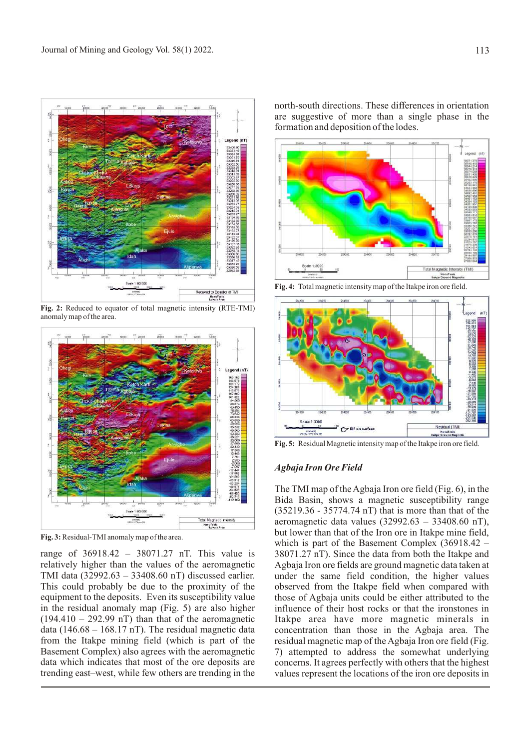

**Fig. 2:** Reduced to equator of total magnetic intensity (RTE-TMI) anomaly map of the area.



**Fig. 3:** Residual-TMI anomaly map of the area.

range of 36918.42 – 38071.27 nT. This value is relatively higher than the values of the aeromagnetic TMI data (32992.63 – 33408.60 nT) discussed earlier. This could probably be due to the proximity of the equipment to the deposits. Even its susceptibility value in the residual anomaly map (Fig. 5) are also higher  $(194.410 - 292.99 \text{ nT})$  than that of the aeromagnetic data (146.68 – 168.17 nT). The residual magnetic data from the Itakpe mining field (which is part of the Basement Complex) also agrees with the aeromagnetic data which indicates that most of the ore deposits are trending east–west, while few others are trending in the

north-south directions. These differences in orientation are suggestive of more than a single phase in the formation and deposition of the lodes.



**Fig. 4:** Total magnetic intensity map of the Itakpe iron ore field.



**Fig. 5:** Residual Magnetic intensity map of the Itakpe iron ore field.

### *Agbaja Iron Ore Field*

The TMI map of the Agbaja Iron ore field (Fig. 6), in the Bida Basin, shows a magnetic susceptibility range (35219.36 - 35774.74 nT) that is more than that of the aeromagnetic data values  $(32992.63 - 33408.60 \text{ nT})$ , but lower than that of the Iron ore in Itakpe mine field, which is part of the Basement Complex (36918.42 – 38071.27 nT). Since the data from both the Itakpe and Agbaja Iron ore fields are ground magnetic data taken at under the same field condition, the higher values observed from the Itakpe field when compared with those of Agbaja units could be either attributed to the influence of their host rocks or that the ironstones in Itakpe area have more magnetic minerals in concentration than those in the Agbaja area. The residual magnetic map of the Agbaja Iron ore field (Fig. 7) attempted to address the somewhat underlying concerns. It agrees perfectly with others that the highest values represent the locations of the iron ore deposits in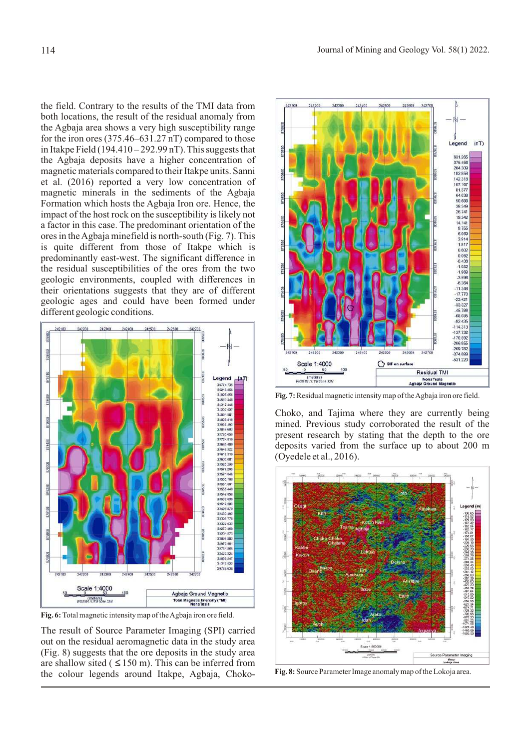the field. Contrary to the results of the TMI data from both locations, the result of the residual anomaly from the Agbaja area shows a very high susceptibility range for the iron ores (375.46–631.27 nT) compared to those in Itakpe Field  $(194.410 - 292.99 \text{ nT})$ . This suggests that the Agbaja deposits have a higher concentration of magnetic materials compared to their Itakpe units. Sanni et al. (2016) reported a very low concentration of magnetic minerals in the sediments of the Agbaja Formation which hosts the Agbaja Iron ore. Hence, the impact of the host rock on the susceptibility is likely not a factor in this case. The predominant orientation of the ores in the Agbaja minefield is north-south (Fig. 7). This is quite different from those of Itakpe which is predominantly east-west. The significant difference in the residual susceptibilities of the ores from the two geologic environments, coupled with differences in their orientations suggests that they are of different geologic ages and could have been formed under different geologic conditions.



**Fig. 6:** Total magnetic intensity map of the Agbaja iron ore field.

The result of Source Parameter Imaging (SPI) carried out on the residual aeromagnetic data in the study area (Fig. 8) suggests that the ore deposits in the study area are shallow sited ( $\leq 150$  m). This can be inferred from the colour legends around Itakpe, Agbaja, Choko- **Fig. 8:** Source Parameter Image anomaly map of the Lokoja area.



**Fig. 7:** Residual magnetic intensity map of the Agbaja iron ore field.

Choko, and Tajima where they are currently being mined. Previous study corroborated the result of the present research by stating that the depth to the ore deposits varied from the surface up to about 200 m (Oyedele et al., 2016).

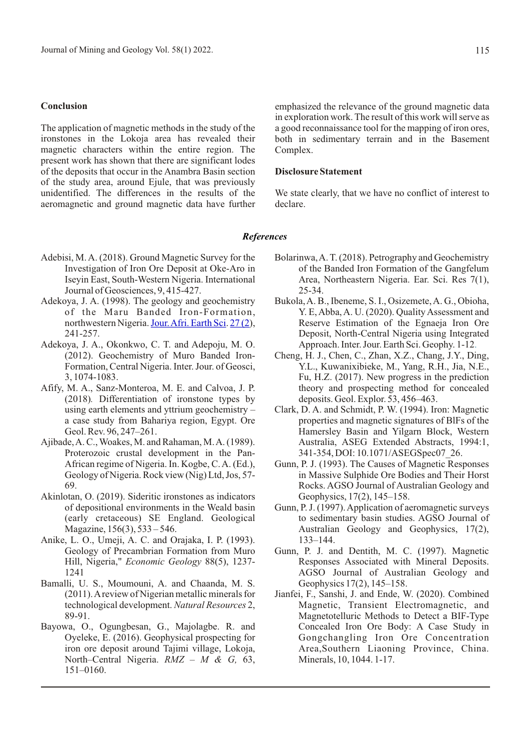#### **Conclusion**

The application of magnetic methods in the study of the ironstones in the Lokoja area has revealed their magnetic characters within the entire region. The present work has shown that there are significant lodes of the deposits that occur in the Anambra Basin section of the study area, around Ejule, that was previously unidentified. The differences in the results of the aeromagnetic and ground magnetic data have further

in exploration work. The result of this work will serve as a good reconnaissance tool for the mapping of iron ores, both in sedimentary terrain and in the Basement Complex.

emphasized the relevance of the ground magnetic data

#### **Disclosure Statement**

We state clearly, that we have no conflict of interest to declare.

#### *References*

- Adebisi, M. A. (2018). Ground Magnetic Survey for the Investigation of Iron Ore Deposit at Oke-Aro in Iseyin East, South-Western Nigeria. International Journal of Geosciences, 9, 415-427.
- Adekoya, J. A. (1998). The geology and geochemistry of the Maru Banded Iron-Formation, northwestern Nigeria. Jour. Afri. Earth Sci. [27 \(2](https://www.sciencedirect.com/science/journal/1464343X/27/2)), 241-257.
- Adekoya, J. A., Okonkwo, C. T. and Adepoju, M. O. (2012). Geochemistry of Muro Banded Iron-Formation, Central Nigeria. Inter. Jour. of Geosci, 3, 1074-1083.
- Afify, M. A., Sanz-Monteroa, M. E. and Calvoa, J. P. (2018)*.* Differentiation of ironstone types by using earth elements and yttrium geochemistry – a case study from Bahariya region, Egypt. Ore Geol. Rev. 96, 247–261.
- Ajibade, A. C., Woakes, M. and Rahaman, M. A. (1989). Proterozoic crustal development in the Pan-African regime of Nigeria. In. Kogbe, C. A. (Ed.), Geology of Nigeria. Rock view (Nig) Ltd, Jos, 57- 69.
- Akinlotan, O. (2019). Sideritic ironstones as indicators of depositional environments in the Weald basin (early cretaceous) SE England. Geological Magazine, 156(3), 533 – 546.
- Anike, L. O., Umeji, A. C. and Orajaka, I. P. (1993). Geology of Precambrian Formation from Muro Hill, Nigeria," *Economic Geology* 88(5), 1237- 1241
- Bamalli, U. S., Moumouni, A. and Chaanda, M. S. (2011). A review of Nigerian metallic minerals for technological development. *Natural Resources* 2, 89-91.
- Bayowa, O., Ogungbesan, G., Majolagbe. R. and Oyeleke, E. (2016). Geophysical prospecting for iron ore deposit around Tajimi village, Lokoja, North–Central Nigeria. *RMZ – M & G,* 63, 151–0160.
- Bolarinwa, A. T. (2018). Petrography and Geochemistry of the Banded Iron Formation of the Gangfelum Area, Northeastern Nigeria. Ear. Sci. Res 7(1), 25-34.
- Bukola, A. B., Ibeneme, S. I., Osizemete, A. G., Obioha, Y. E, Abba, A. U. (2020). Quality Assessment and Reserve Estimation of the Egnaeja Iron Ore Deposit, North-Central Nigeria using Integrated Approach. Inter. Jour. Earth Sci. Geophy. 1-12.
- Cheng, H. J., Chen, C., Zhan, X.Z., Chang, J.Y., Ding, Y.L., Kuwanixibieke, M., Yang, R.H., Jia, N.E., Fu, H.Z. (2017). New progress in the prediction theory and prospecting method for concealed deposits. Geol. Explor. 53, 456–463.
- Clark, D. A. and Schmidt, P. W. (1994). Iron: Magnetic properties and magnetic signatures of BlFs of the Hamersley Basin and Yilgarn Block, Western Australia, ASEG Extended Abstracts, 1994:1, 341-354, DOI: 10.1071/ASEGSpec07\_26.
- Gunn, P. J. (1993). The Causes of Magnetic Responses in Massive Sulphide Ore Bodies and Their Horst Rocks. AGSO Journal of Australian Geology and Geophysics, 17(2), 145–158.
- Gunn, P. J. (1997). Application of aeromagnetic surveys to sedimentary basin studies. AGSO Journal of Australian Geology and Geophysics, 17(2), 133–144.
- Gunn, P. J. and Dentith, M. C. (1997). Magnetic Responses Associated with Mineral Deposits. AGSO Journal of Australian Geology and Geophysics 17(2), 145–158.
- Jianfei, F., Sanshi, J. and Ende, W. (2020). Combined Magnetic, Transient Electromagnetic, and Magnetotelluric Methods to Detect a BIF-Type Concealed Iron Ore Body: A Case Study in Gongchangling Iron Ore Concentration Area,Southern Liaoning Province, China. Minerals, 10, 1044. 1-17.